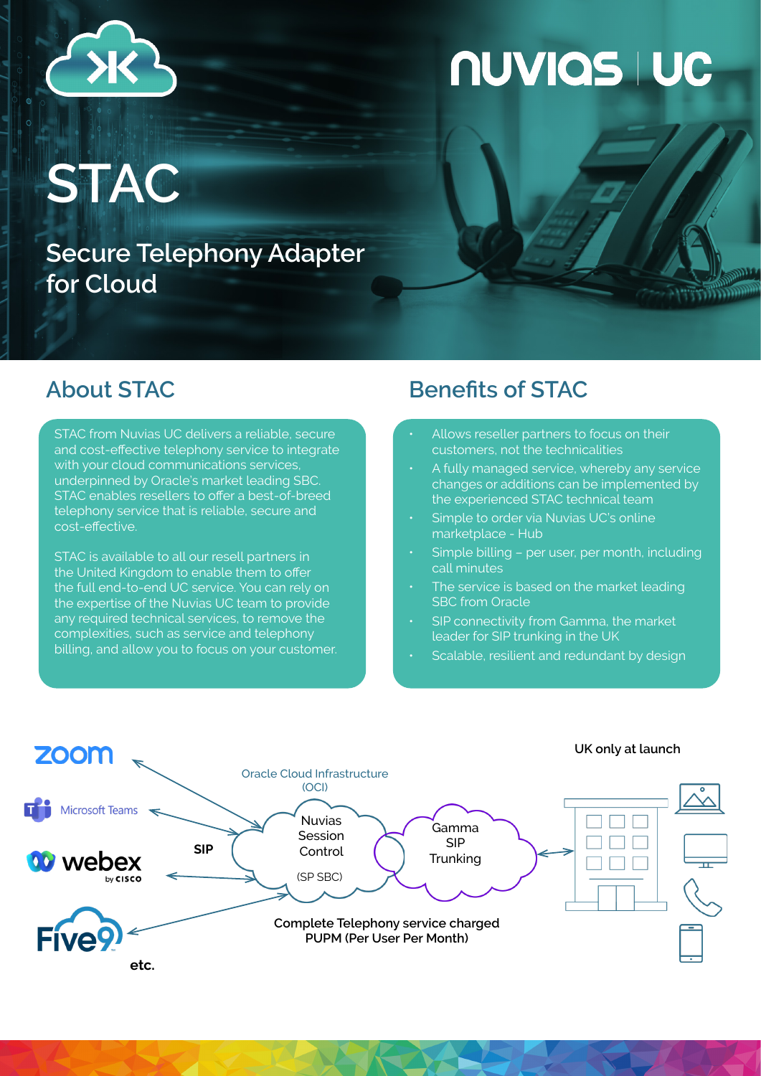

## **NUVIAS I UC**

**STAC**

**Secure Telephony Adapter for Cloud**

STAC from Nuvias UC delivers a reliable, secure and cost-effective telephony service to integrate with your cloud communications services, underpinned by Oracle's market leading SBC. STAC enables resellers to offer a best-of-breed telephony service that is reliable, secure and cost-effective.

STAC is available to all our resell partners in the United Kingdom to enable them to offer the full end-to-end UC service. You can rely on the expertise of the Nuvias UC team to provide any required technical services, to remove the complexities, such as service and telephony billing, and allow you to focus on your customer.

## **About STAC Benefits of STAC**

- Allows reseller partners to focus on their customers, not the technicalities
- A fully managed service, whereby any service changes or additions can be implemented by the experienced STAC technical team
- Simple to order via Nuvias UC's online marketplace - Hub
- Simple billing per user, per month, including call minutes
- The service is based on the market leading SBC from Oracle
- SIP connectivity from Gamma, the market leader for SIP trunking in the UK
- Scalable, resilient and redundant by design